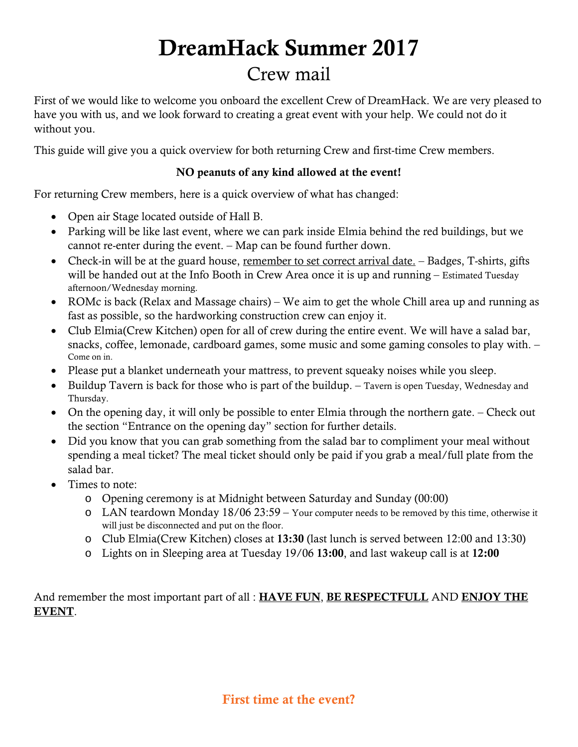# DreamHack Summer 2017

# Crew mail

First of we would like to welcome you onboard the excellent Crew of DreamHack. We are very pleased to have you with us, and we look forward to creating a great event with your help. We could not do it without you.

This guide will give you a quick overview for both returning Crew and first-time Crew members.

#### NO peanuts of any kind allowed at the event!

For returning Crew members, here is a quick overview of what has changed:

- Open air Stage located outside of Hall B.
- Parking will be like last event, where we can park inside Elmia behind the red buildings, but we cannot re-enter during the event. – Map can be found further down.
- Check-in will be at the guard house, remember to set correct arrival date. Badges, T-shirts, gifts will be handed out at the Info Booth in Crew Area once it is up and running – Estimated Tuesday afternoon/Wednesday morning.
- ROMc is back (Relax and Massage chairs) We aim to get the whole Chill area up and running as fast as possible, so the hardworking construction crew can enjoy it.
- Club Elmia(Crew Kitchen) open for all of crew during the entire event. We will have a salad bar, snacks, coffee, lemonade, cardboard games, some music and some gaming consoles to play with. – Come on in.
- Please put a blanket underneath your mattress, to prevent squeaky noises while you sleep.
- Buildup Tavern is back for those who is part of the buildup. Tavern is open Tuesday, Wednesday and Thursday.
- On the opening day, it will only be possible to enter Elmia through the northern gate. Check out the section "Entrance on the opening day" section for further details.
- Did you know that you can grab something from the salad bar to compliment your meal without spending a meal ticket? The meal ticket should only be paid if you grab a meal/full plate from the salad bar.
- Times to note:
	- o Opening ceremony is at Midnight between Saturday and Sunday (00:00)
	- $\circ$  LAN teardown Monday 18/06 23:59 Your computer needs to be removed by this time, otherwise it will just be disconnected and put on the floor.
	- o Club Elmia(Crew Kitchen) closes at 13:30 (last lunch is served between 12:00 and 13:30)
	- o Lights on in Sleeping area at Tuesday 19/06 13:00, and last wakeup call is at 12:00

And remember the most important part of all : HAVE FUN, BE RESPECTFULL AND ENJOY THE EVENT.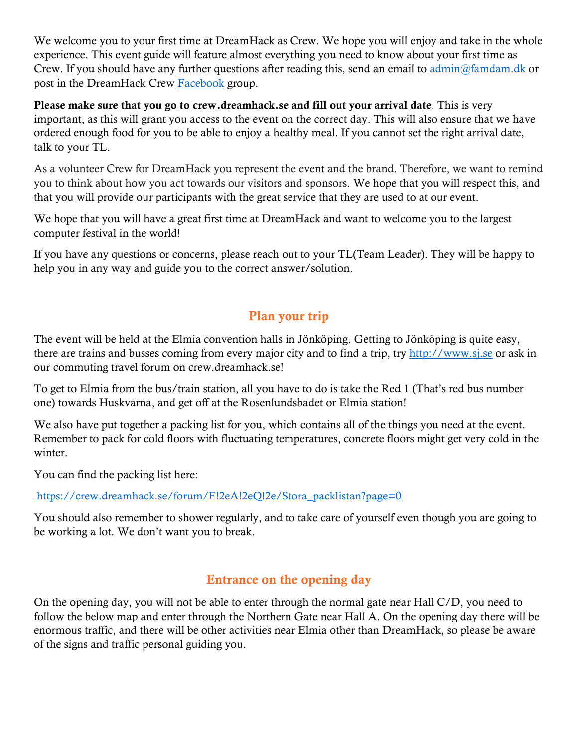We welcome you to your first time at DreamHack as Crew. We hope you will enjoy and take in the whole experience. This event guide will feature almost everything you need to know about your first time as Crew. If you should have any further questions after reading this, send an email to [admin@famdam.dk](https://convateccloud-my.sharepoint.com/personal/lars_damgaard_convatec_com/Documents/DreamHack/admin@famdam.dk) or post in the DreamHack Crew [Facebook](https://www.facebook.com/groups/3992694462/) group.

Please make sure that you go to crew.dreamhack.se and fill out your arrival date. This is very important, as this will grant you access to the event on the correct day. This will also ensure that we have ordered enough food for you to be able to enjoy a healthy meal. If you cannot set the right arrival date, talk to your TL.

As a volunteer Crew for DreamHack you represent the event and the brand. Therefore, we want to remind you to think about how you act towards our visitors and sponsors. We hope that you will respect this, and that you will provide our participants with the great service that they are used to at our event.

We hope that you will have a great first time at DreamHack and want to welcome you to the largest computer festival in the world!

If you have any questions or concerns, please reach out to your TL(Team Leader). They will be happy to help you in any way and guide you to the correct answer/solution.

#### Plan your trip

The event will be held at the Elmia convention halls in Jönköping. Getting to Jönköping is quite easy, there are trains and busses coming from every major city and to find a trip, try [http://www.sj.se](http://www.sj.se/) or ask in our commuting travel forum on crew.dreamhack.se!

To get to Elmia from the bus/train station, all you have to do is take the Red 1 (That's red bus number one) towards Huskvarna, and get off at the Rosenlundsbadet or Elmia station!

We also have put together a packing list for you, which contains all of the things you need at the event. Remember to pack for cold floors with fluctuating temperatures, concrete floors might get very cold in the winter.

You can find the packing list here:

[https://crew.dreamhack.se/forum/F!2eA!2eQ!2e/Stora\\_packlistan?page=0](https://crew.dreamhack.se/forum/F!2eA!2eQ!2e/Stora_packlistan?page=0%20)

You should also remember to shower regularly, and to take care of yourself even though you are going to be working a lot. We don't want you to break.

# Entrance on the opening day

On the opening day, you will not be able to enter through the normal gate near Hall C/D, you need to follow the below map and enter through the Northern Gate near Hall A. On the opening day there will be enormous traffic, and there will be other activities near Elmia other than DreamHack, so please be aware of the signs and traffic personal guiding you.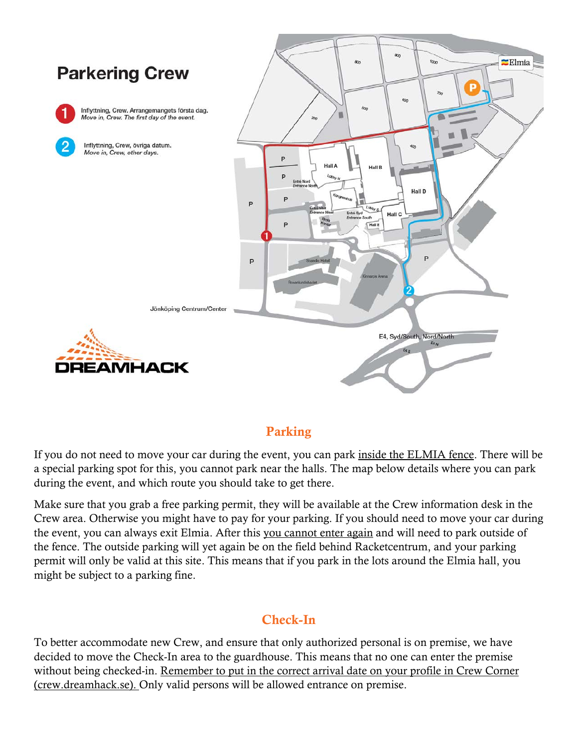

#### Parking

If you do not need to move your car during the event, you can park inside the ELMIA fence. There will be a special parking spot for this, you cannot park near the halls. The map below details where you can park during the event, and which route you should take to get there.

Make sure that you grab a free parking permit, they will be available at the Crew information desk in the Crew area. Otherwise you might have to pay for your parking. If you should need to move your car during the event, you can always exit Elmia. After this you cannot enter again and will need to park outside of the fence. The outside parking will yet again be on the field behind Racketcentrum, and your parking permit will only be valid at this site. This means that if you park in the lots around the Elmia hall, you might be subject to a parking fine.

#### Check-In

To better accommodate new Crew, and ensure that only authorized personal is on premise, we have decided to move the Check-In area to the guardhouse. This means that no one can enter the premise without being checked-in. Remember to put in the correct arrival date on your profile in Crew Corner (crew.dreamhack.se). Only valid persons will be allowed entrance on premise.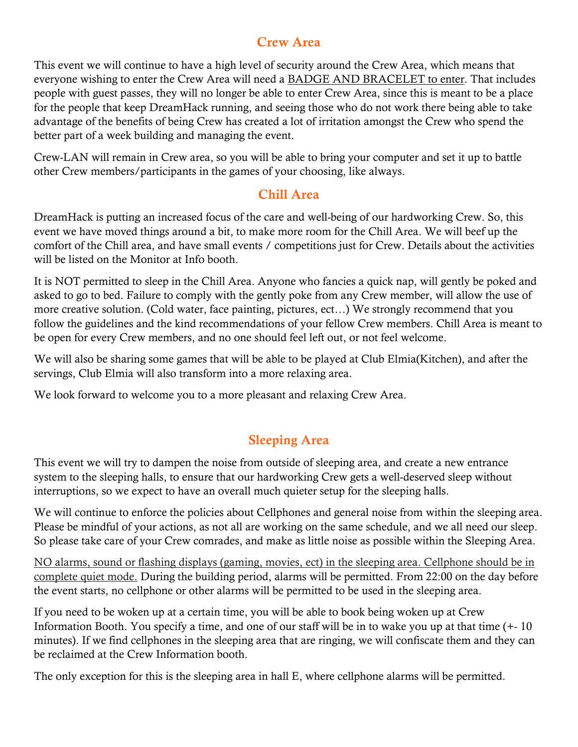#### Crew Area

This event we will continue to have a high level of security around the Crew Area, which means that everyone wishing to enter the Crew Area will need a BADGE AND BRACELET to enter. That includes people with guest passes, they will no longer be able to enter Crew Area, since this is meant to be a place for the people that keep DreamHack running, and seeing those who do not work there being able to take advantage of the benefits of being Crew has created a lot of irritation amongst the Crew who spend the better part of a week building and managing the event.

Crew-LAN will remain in Crew area, so you will be able to bring your computer and set it up to battle other Crew members/participants in the games of your choosing, like always.

#### Chill Area

DreamHack is putting an increased focus of the care and well-being of our hardworking Crew. So, this event we have moved things around a bit, to make more room for the Chill Area. We will beef up the comfort of the Chill area, and have small events / competitions just for Crew. Details about the activities will be listed on the Monitor at Info booth.

It is NOT permitted to sleep in the Chill Area. Anyone who fancies a quick nap, will gently be poked and asked to go to bed. Failure to comply with the gently poke from any Crew member, will allow the use of more creative solution. (Cold water, face painting, pictures, ect…) We strongly recommend that you follow the guidelines and the kind recommendations of your fellow Crew members. Chill Area is meant to be open for every Crew members, and no one should feel left out, or not feel welcome.

We will also be sharing some games that will be able to be played at Club Elmia(Kitchen), and after the servings, Club Elmia will also transform into a more relaxing area.

We look forward to welcome you to a more pleasant and relaxing Crew Area.

# Sleeping Area

This event we will try to dampen the noise from outside of sleeping area, and create a new entrance system to the sleeping halls, to ensure that our hardworking Crew gets a well-deserved sleep without interruptions, so we expect to have an overall much quieter setup for the sleeping halls.

We will continue to enforce the policies about Cellphones and general noise from within the sleeping area. Please be mindful of your actions, as not all are working on the same schedule, and we all need our sleep. So please take care of your Crew comrades, and make as little noise as possible within the Sleeping Area.

NO alarms, sound or flashing displays (gaming, movies, ect) in the sleeping area. Cellphone should be in complete quiet mode. During the building period, alarms will be permitted. From 22:00 on the day before the event starts, no cellphone or other alarms will be permitted to be used in the sleeping area.

If you need to be woken up at a certain time, you will be able to book being woken up at Crew Information Booth. You specify a time, and one of our staff will be in to wake you up at that time (+- 10 minutes). If we find cellphones in the sleeping area that are ringing, we will confiscate them and they can be reclaimed at the Crew Information booth.

The only exception for this is the sleeping area in hall E, where cellphone alarms will be permitted.